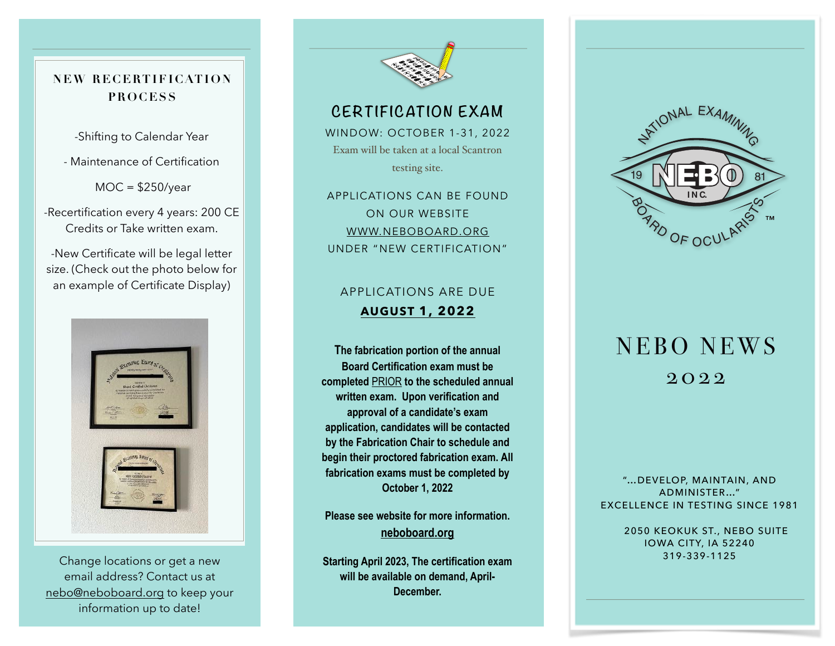**NEW RECERTIFICATION PROCESS**

-Shifting to Calendar Year

- Maintenance of Certification

 $MOC = $250/year$ 

-Recertification every 4 years: 200 CE Credits or Take written exam.

-New Certificate will be legal letter size. (Check out the photo below for an example of Certificate Display)



Change locations or get a new email address? Contact us at [nebo@neboboard.org](mailto:nebo@neboboard.org) to keep your information up to date!



#### **CERTIFICATION EXAM**

WINDOW: OCTOBER 1-31, 2022 Exam will be taken at a local Scantron testing site.

APPLICATIONS CAN BE FOUND ON OUR WEBSITE [WWW.NEBOBOARD.ORG](http://www.neboboard.org) UNDER "NEW CERTIFICATION"

#### APPLICATIONS ARE DUE **AUGUST 1, 2022**

**The fabrication portion of the annual Board Certification exam must be completed** PRIOR **to the scheduled annual written exam. Upon verification and approval of a candidate's exam application, candidates will be contacted by the Fabrication Chair to schedule and begin their proctored fabrication exam. All fabrication exams must be completed by October 1, 2022** 

**Please see website for more information. [neboboard.org](http://neboboard.org)** 

**Starting April 2023, The certification exam will be available on demand, April-December.**



# NEBO NEWS 2022

"…DEVELOP, MAINTAIN, AND ADMINISTER…" EXCELLENCE IN TESTING SINCE 1981

> 2050 KEOKUK ST., NEBO SUITE IOWA CITY, IA 52240 319-339-1125